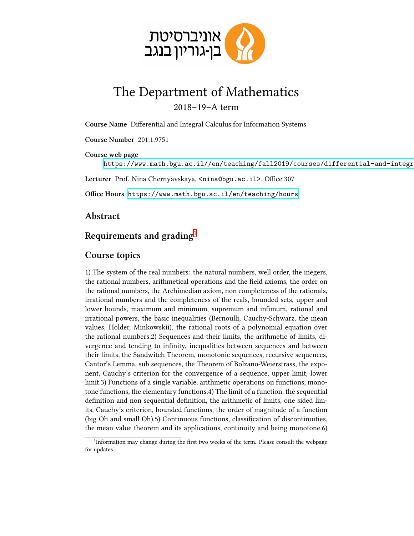

## The Department of Mathematics 2018–19–A term

**Course Name** Differential and Integral Calculus for Information Systems

**Course Number** 201.1.9751

**Course web page** https://www.math.bgu.ac.il//en/teaching/fall2019/courses/differential-and-integr

Lecturer Prof. Nina Chernyavskaya, <nina@bgu.ac.il>, Office 307

**Office Hours** <https://www.math.bgu.ac.il/en/teaching/hours>

**Abstract**

## **Requirements and grading**[1](#page-0-0)

## **Course topics**

1) The system of the real numbers: the natural numbers, well order, the inegers, the rational numbers, arithmetical operations and the field axioms, the order on the rational numbers, the Archimedian axiom, non completeness of the rationals, irrational numbers and the completeness of the reals, bounded sets, upper and lower bounds, maximum and minimum, supremum and infimum, rational and irrational powers, the basic inequalities (Bernoulli, Cauchy-Schwarz, the mean values, Holder, Minkowskii), the rational roots of a polynomial equation over the rational numbers.2) Sequences and their limits, the arithmetic of limits, divergence and tending to infinity, inequalities between sequences and between their limits, the Sandwitch Theorem, monotonic sequences, recursive sequences, Cantor's Lemma, sub sequences, the Theorem of Bolzano-Weierstrass, the exponent, Cauchy's criterion for the convergence of a sequence, upper limit, lower limit.3) Functions of a single variable, arithmetic operations on functions, monotone functions, the elementary functions.4) The limit of a function, the sequential definition and non sequential definition, the arithmetic of limits, one sided limits, Cauchy's criterion, bounded functions, the order of magnitude of a function (big Oh and small Oh).5) Continuous functions, classification of discontinuities, the mean value theorem and its applications, continuity and being monotone.6)

<span id="page-0-0"></span><sup>&</sup>lt;sup>1</sup>Information may change during the first two weeks of the term. Please consult the webpage for updates